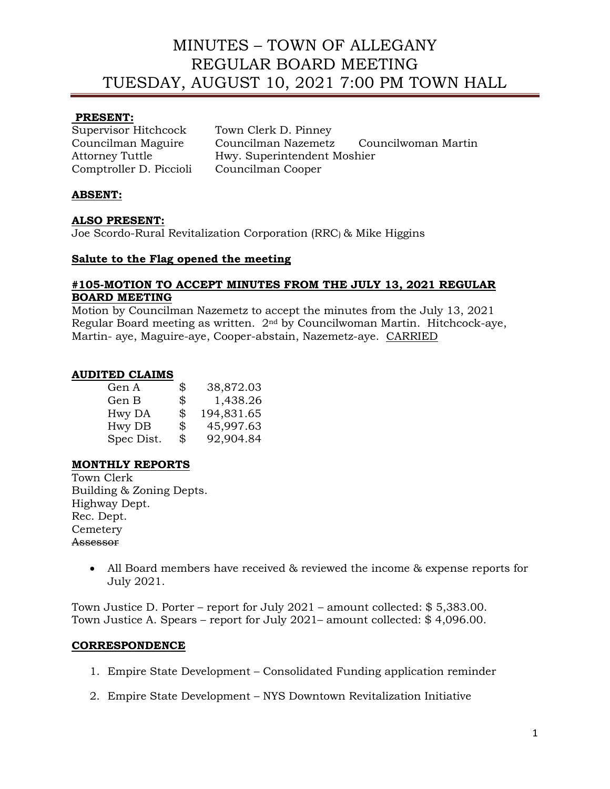### **PRESENT:**

Comptroller D. Piccioli Councilman Cooper

Supervisor Hitchcock Town Clerk D. Pinney Councilman Maguire Councilman Nazemetz Councilwoman Martin Attorney Tuttle Hwy. Superintendent Moshier

## **ABSENT:**

### **ALSO PRESENT:**

Joe Scordo-Rural Revitalization Corporation (RRC) & Mike Higgins

#### **Salute to the Flag opened the meeting**

### **#105-MOTION TO ACCEPT MINUTES FROM THE JULY 13, 2021 REGULAR BOARD MEETING**

Motion by Councilman Nazemetz to accept the minutes from the July 13, 2021 Regular Board meeting as written. 2nd by Councilwoman Martin. Hitchcock-aye, Martin- aye, Maguire-aye, Cooper-abstain, Nazemetz-aye. CARRIED

### **AUDITED CLAIMS**

| \$<br>38,872.03  |
|------------------|
| \$<br>1,438.26   |
| \$<br>194,831.65 |
| \$<br>45,997.63  |
| \$<br>92,904.84  |
|                  |

### **MONTHLY REPORTS**

Town Clerk Building & Zoning Depts. Highway Dept. Rec. Dept. **Cemetery** Assessor

> • All Board members have received & reviewed the income & expense reports for July 2021.

Town Justice D. Porter – report for July 2021 – amount collected: \$ 5,383.00. Town Justice A. Spears – report for July 2021– amount collected: \$ 4,096.00.

### **CORRESPONDENCE**

- 1. Empire State Development Consolidated Funding application reminder
- 2. Empire State Development NYS Downtown Revitalization Initiative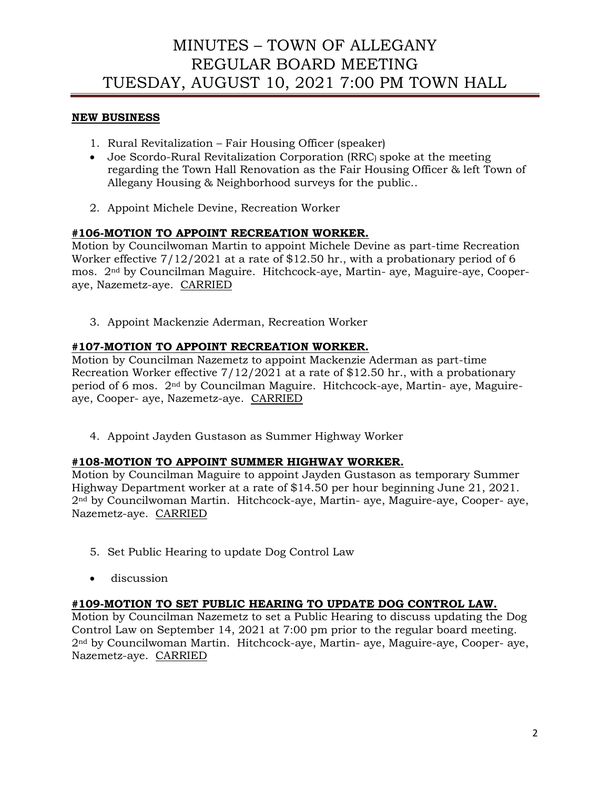## **NEW BUSINESS**

- 1. Rural Revitalization Fair Housing Officer (speaker)
- Joe Scordo-Rural Revitalization Corporation (RRC) spoke at the meeting regarding the Town Hall Renovation as the Fair Housing Officer & left Town of Allegany Housing & Neighborhood surveys for the public..
- 2. Appoint Michele Devine, Recreation Worker

## **#106-MOTION TO APPOINT RECREATION WORKER.**

Motion by Councilwoman Martin to appoint Michele Devine as part-time Recreation Worker effective 7/12/2021 at a rate of \$12.50 hr., with a probationary period of 6 mos. 2nd by Councilman Maguire. Hitchcock-aye, Martin- aye, Maguire-aye, Cooperaye, Nazemetz-aye. CARRIED

3. Appoint Mackenzie Aderman, Recreation Worker

### **#107-MOTION TO APPOINT RECREATION WORKER.**

Motion by Councilman Nazemetz to appoint Mackenzie Aderman as part-time Recreation Worker effective 7/12/2021 at a rate of \$12.50 hr., with a probationary period of 6 mos. 2nd by Councilman Maguire. Hitchcock-aye, Martin- aye, Maguireaye, Cooper- aye, Nazemetz-aye. CARRIED

4. Appoint Jayden Gustason as Summer Highway Worker

### **#108-MOTION TO APPOINT SUMMER HIGHWAY WORKER.**

Motion by Councilman Maguire to appoint Jayden Gustason as temporary Summer Highway Department worker at a rate of \$14.50 per hour beginning June 21, 2021. 2nd by Councilwoman Martin. Hitchcock-aye, Martin- aye, Maguire-aye, Cooper- aye, Nazemetz-aye. CARRIED

- 5. Set Public Hearing to update Dog Control Law
- discussion

### **#109-MOTION TO SET PUBLIC HEARING TO UPDATE DOG CONTROL LAW.**

Motion by Councilman Nazemetz to set a Public Hearing to discuss updating the Dog Control Law on September 14, 2021 at 7:00 pm prior to the regular board meeting. 2nd by Councilwoman Martin. Hitchcock-aye, Martin- aye, Maguire-aye, Cooper- aye, Nazemetz-aye. CARRIED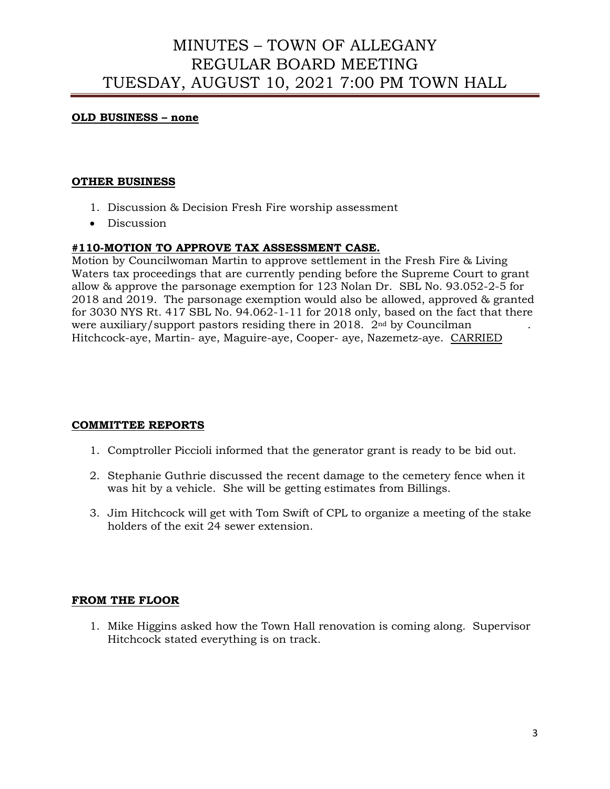#### **OLD BUSINESS – none**

#### **OTHER BUSINESS**

- 1. Discussion & Decision Fresh Fire worship assessment
- Discussion

#### **#110-MOTION TO APPROVE TAX ASSESSMENT CASE.**

Motion by Councilwoman Martin to approve settlement in the Fresh Fire & Living Waters tax proceedings that are currently pending before the Supreme Court to grant allow & approve the parsonage exemption for 123 Nolan Dr. SBL No. 93.052-2-5 for 2018 and 2019. The parsonage exemption would also be allowed, approved & granted for 3030 NYS Rt. 417 SBL No. 94.062-1-11 for 2018 only, based on the fact that there were auxiliary/support pastors residing there in 2018.  $2<sup>nd</sup>$  by Councilman Hitchcock-aye, Martin- aye, Maguire-aye, Cooper- aye, Nazemetz-aye. CARRIED

### **COMMITTEE REPORTS**

- 1. Comptroller Piccioli informed that the generator grant is ready to be bid out.
- 2. Stephanie Guthrie discussed the recent damage to the cemetery fence when it was hit by a vehicle. She will be getting estimates from Billings.
- 3. Jim Hitchcock will get with Tom Swift of CPL to organize a meeting of the stake holders of the exit 24 sewer extension.

#### **FROM THE FLOOR**

1. Mike Higgins asked how the Town Hall renovation is coming along. Supervisor Hitchcock stated everything is on track.